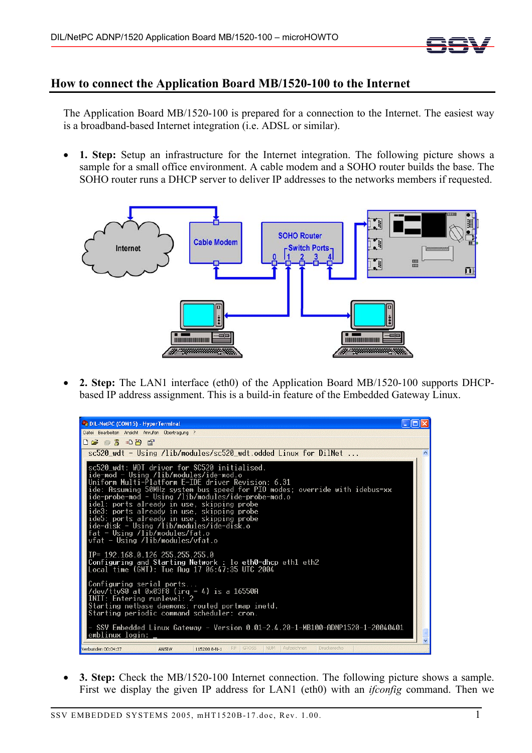

## **How to connect the Application Board MB/1520-100 to the Internet**

The Application Board MB/1520-100 is prepared for a connection to the Internet. The easiest way is a broadband-based Internet integration (i.e. ADSL or similar).

• **1. Step:** Setup an infrastructure for the Internet integration. The following picture shows a sample for a small office environment. A cable modem and a SOHO router builds the base. The SOHO router runs a DHCP server to deliver IP addresses to the networks members if requested.



• **2. Step:** The LAN1 interface (eth0) of the Application Board MB/1520-100 supports DHCPbased IP address assignment. This is a build-in feature of the Embedded Gateway Linux.



• **3. Step:** Check the MB/1520-100 Internet connection. The following picture shows a sample. First we display the given IP address for LAN1 (eth0) with an *ifconfig* command. Then we